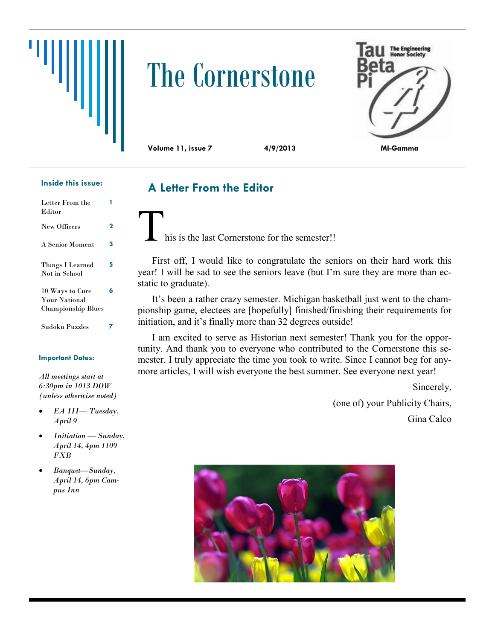

# The Cornerstone



**Volume 11, issue 7 4/9/2013 MI-Gamma**

#### **Inside this issue:**

| Letter From the<br>Editor                                            |   |
|----------------------------------------------------------------------|---|
| <b>New Officers</b>                                                  | 2 |
| A Senior Moment                                                      | 3 |
| Things I Learned<br>Not in School                                    | 5 |
| 10 Ways to Cure<br><b>Your National</b><br><b>Championship Blues</b> | 6 |
| Sudoku Puzzles                                                       |   |

#### **Important Dates:**

*All meetings start at 6:30pm in 1013 DOW (unless otherwise noted)*

- *EA III— Tuesday, April 9*
- *Initiation — Sunday, April 14, 4pm 1109 FXB*
- *Banquet—Sunday, April 14, 6pm Campus Inn*

**A Letter From the Editor**

his is the last Cornerstone for the semester!!

First off, I would like to congratulate the seniors on their hard work this year! I will be sad to see the seniors leave (but I'm sure they are more than ecstatic to graduate).

It's been a rather crazy semester. Michigan basketball just went to the championship game, electees are [hopefully] finished/finishing their requirements for initiation, and it's finally more than 32 degrees outside!

I am excited to serve as Historian next semester! Thank you for the opportunity. And thank you to everyone who contributed to the Cornerstone this semester. I truly appreciate the time you took to write. Since I cannot beg for anymore articles, I will wish everyone the best summer. See everyone next year!

> Sincerely, (one of) your Publicity Chairs, Gina Calco

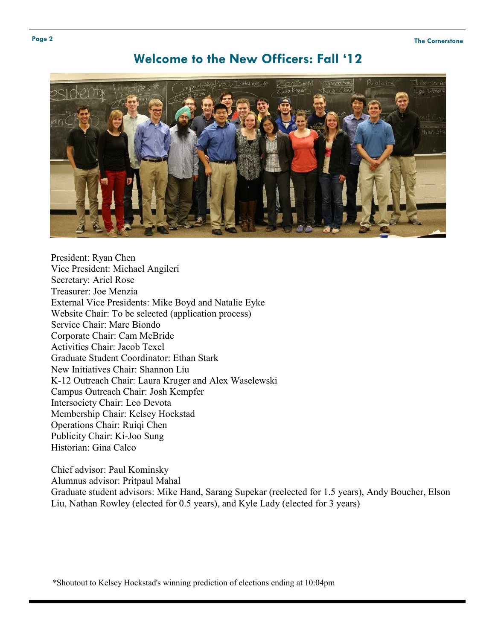## **Welcome to the New Officers: Fall '12**



President: Ryan Chen Vice President: Michael Angileri Secretary: Ariel Rose Treasurer: Joe Menzia External Vice Presidents: Mike Boyd and Natalie Eyke Website Chair: To be selected (application process) Service Chair: Marc Biondo Corporate Chair: Cam McBride Activities Chair: Jacob Texel Graduate Student Coordinator: Ethan Stark New Initiatives Chair: Shannon Liu K-12 Outreach Chair: Laura Kruger and Alex Waselewski Campus Outreach Chair: Josh Kempfer Intersociety Chair: Leo Devota Membership Chair: Kelsey Hockstad Operations Chair: Ruiqi Chen Publicity Chair: Ki-Joo Sung Historian: Gina Calco

Chief advisor: Paul Kominsky Alumnus advisor: Pritpaul Mahal Graduate student advisors: Mike Hand, Sarang Supekar (reelected for 1.5 years), Andy Boucher, Elson Liu, Nathan Rowley (elected for 0.5 years), and Kyle Lady (elected for 3 years)

\*Shoutout to [Kelsey Hockstad's](https://www.facebook.com/kelsey.hockstad) winning prediction of elections ending at 10:04pm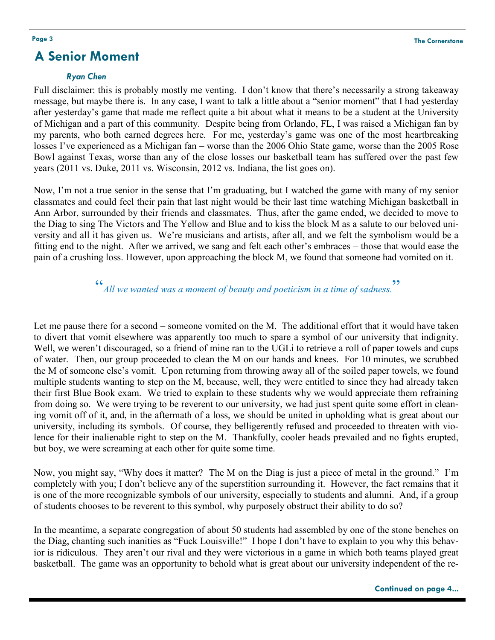## **A Senior Moment**

#### *Ryan Chen*

Full disclaimer: this is probably mostly me venting. I don't know that there's necessarily a strong takeaway message, but maybe there is. In any case, I want to talk a little about a "senior moment" that I had yesterday after yesterday's game that made me reflect quite a bit about what it means to be a student at the University of Michigan and a part of this community. Despite being from Orlando, FL, I was raised a Michigan fan by my parents, who both earned degrees here. For me, yesterday's game was one of the most heartbreaking losses I've experienced as a Michigan fan – worse than the 2006 Ohio State game, worse than the 2005 Rose Bowl against Texas, worse than any of the close losses our basketball team has suffered over the past few years (2011 vs. Duke, 2011 vs. Wisconsin, 2012 vs. Indiana, the list goes on).

Now, I'm not a true senior in the sense that I'm graduating, but I watched the game with many of my senior classmates and could feel their pain that last night would be their last time watching Michigan basketball in Ann Arbor, surrounded by their friends and classmates. Thus, after the game ended, we decided to move to the Diag to sing The Victors and The Yellow and Blue and to kiss the block M as a salute to our beloved university and all it has given us. We're musicians and artists, after all, and we felt the symbolism would be a fitting end to the night. After we arrived, we sang and felt each other's embraces – those that would ease the pain of a crushing loss. However, upon approaching the block M, we found that someone had vomited on it.

> " *All we wanted was a moment of beauty and poeticism in a time of sadness.* **"**

Let me pause there for a second – someone vomited on the M. The additional effort that it would have taken to divert that vomit elsewhere was apparently too much to spare a symbol of our university that indignity. Well, we weren't discouraged, so a friend of mine ran to the UGLi to retrieve a roll of paper towels and cups of water. Then, our group proceeded to clean the M on our hands and knees. For 10 minutes, we scrubbed the M of someone else's vomit. Upon returning from throwing away all of the soiled paper towels, we found multiple students wanting to step on the M, because, well, they were entitled to since they had already taken their first Blue Book exam. We tried to explain to these students why we would appreciate them refraining from doing so. We were trying to be reverent to our university, we had just spent quite some effort in cleaning vomit off of it, and, in the aftermath of a loss, we should be united in upholding what is great about our university, including its symbols. Of course, they belligerently refused and proceeded to threaten with violence for their inalienable right to step on the M. Thankfully, cooler heads prevailed and no fights erupted, but boy, we were screaming at each other for quite some time.

Now, you might say, "Why does it matter? The M on the Diag is just a piece of metal in the ground." I'm completely with you; I don't believe any of the superstition surrounding it. However, the fact remains that it is one of the more recognizable symbols of our university, especially to students and alumni. And, if a group of students chooses to be reverent to this symbol, why purposely obstruct their ability to do so?

In the meantime, a separate congregation of about 50 students had assembled by one of the stone benches on the Diag, chanting such inanities as "Fuck Louisville!" I hope I don't have to explain to you why this behavior is ridiculous. They aren't our rival and they were victorious in a game in which both teams played great basketball. The game was an opportunity to behold what is great about our university independent of the re-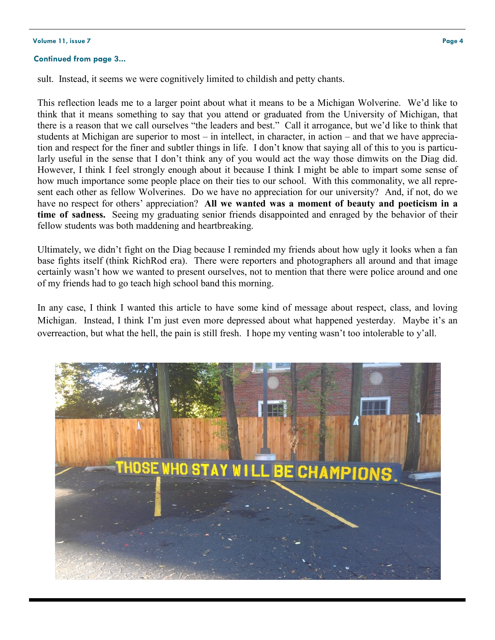#### **Volume 11, issue 7 Page 4**

#### **Continued from page 3...**

sult. Instead, it seems we were cognitively limited to childish and petty chants.

This reflection leads me to a larger point about what it means to be a Michigan Wolverine. We'd like to think that it means something to say that you attend or graduated from the University of Michigan, that there is a reason that we call ourselves "the leaders and best." Call it arrogance, but we'd like to think that students at Michigan are superior to most – in intellect, in character, in action – and that we have appreciation and respect for the finer and subtler things in life. I don't know that saying all of this to you is particularly useful in the sense that I don't think any of you would act the way those dimwits on the Diag did. However, I think I feel strongly enough about it because I think I might be able to impart some sense of how much importance some people place on their ties to our school. With this commonality, we all represent each other as fellow Wolverines. Do we have no appreciation for our university? And, if not, do we have no respect for others' appreciation? **All we wanted was a moment of beauty and poeticism in a time of sadness.** Seeing my graduating senior friends disappointed and enraged by the behavior of their fellow students was both maddening and heartbreaking.

Ultimately, we didn't fight on the Diag because I reminded my friends about how ugly it looks when a fan base fights itself (think RichRod era). There were reporters and photographers all around and that image certainly wasn't how we wanted to present ourselves, not to mention that there were police around and one of my friends had to go teach high school band this morning.

In any case, I think I wanted this article to have some kind of message about respect, class, and loving Michigan. Instead, I think I'm just even more depressed about what happened yesterday. Maybe it's an overreaction, but what the hell, the pain is still fresh. I hope my venting wasn't too intolerable to y'all.

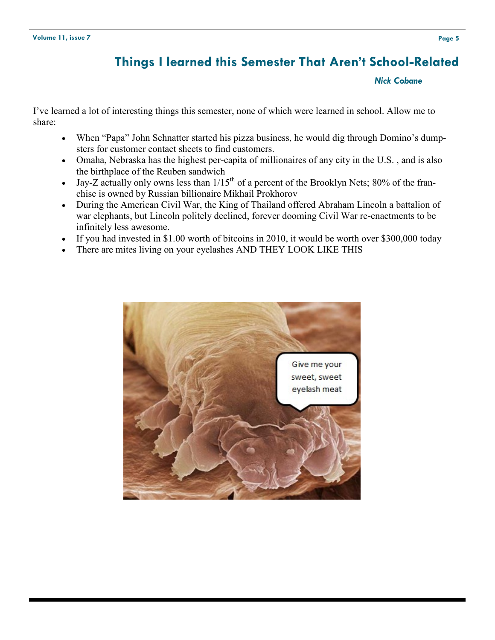# **Things I learned this Semester That Aren't School-Related**

#### *Nick Cobane*

I've learned a lot of interesting things this semester, none of which were learned in school. Allow me to share:

- When "Papa" John Schnatter started his pizza business, he would dig through Domino's dumpsters for customer contact sheets to find customers.
- Omaha, Nebraska has the highest per-capita of millionaires of any city in the U.S. , and is also the birthplace of the Reuben sandwich
- $\bullet$  Jay-Z actually only owns less than  $1/15<sup>th</sup>$  of a percent of the Brooklyn Nets; 80% of the franchise is owned by Russian billionaire Mikhail Prokhorov
- During the American Civil War, the King of Thailand offered Abraham Lincoln a battalion of war elephants, but Lincoln politely declined, forever dooming Civil War re-enactments to be infinitely less awesome.
- If you had invested in \$1.00 worth of bitcoins in 2010, it would be worth over \$300,000 today
- There are mites living on your eyelashes AND THEY LOOK LIKE THIS

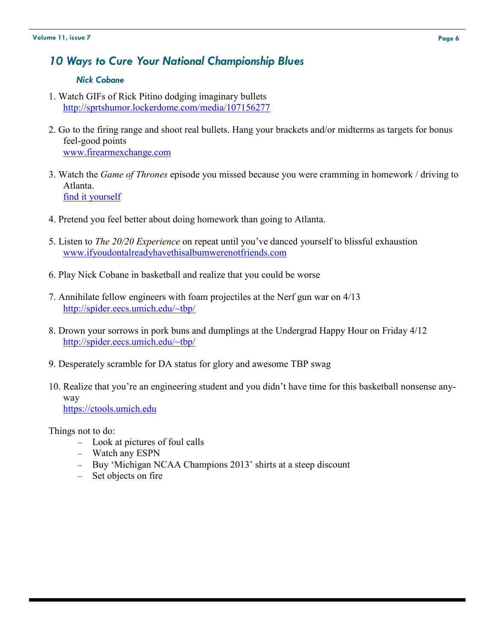## *10 Ways to Cure Your National Championship Blues*

#### *Nick Cobane*

- 1. Watch GIFs of Rick Pitino dodging imaginary bullets <http://sprtshumor.lockerdome.com/media/107156277>
- 2. Go to the firing range and shoot real bullets. Hang your brackets and/or midterms as targets for bonus feel-good points [www.firearmexchange.com](http://www.firearmexchange.com)
- 3. Watch the *Game of Thrones* episode you missed because you were cramming in homework / driving to Atlanta. find it yourself
- 4. Pretend you feel better about doing homework than going to Atlanta.
- 5. Listen to *The 20/20 Experience* on repeat until you've danced yourself to blissful exhaustion www.ifyoudontalreadyhavethisalbumwerenotfriends.com
- 6. Play Nick Cobane in basketball and realize that you could be worse
- 7. Annihilate fellow engineers with foam projectiles at the Nerf gun war on 4/13 <http://spider.eecs.umich.edu/~tbp/>
- 8. Drown your sorrows in pork buns and dumplings at the Undergrad Happy Hour on Friday 4/12 <http://spider.eecs.umich.edu/~tbp/>
- 9. Desperately scramble for DA status for glory and awesome TBP swag
- 10. Realize that you're an engineering student and you didn't have time for this basketball nonsense anyway <https://ctools.umich.edu>

Things not to do:

- Look at pictures of foul calls
- Watch any ESPN
- Buy 'Michigan NCAA Champions 2013' shirts at a steep discount
- Set objects on fire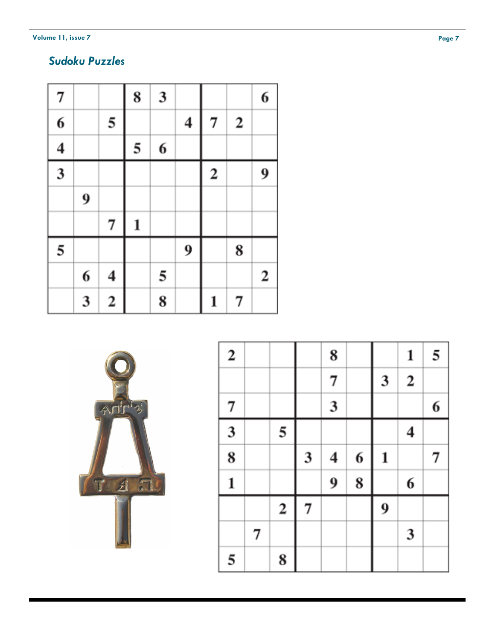**Volume 11, issue 7** 

# *Sudoku Puzzles*

| 7                       |   |                         | 8            | $\mathbf{3}$ |                         |                  |                  | 6           |
|-------------------------|---|-------------------------|--------------|--------------|-------------------------|------------------|------------------|-------------|
| $\overline{\mathbf{6}}$ |   | 5                       |              |              | $\overline{\mathbf{4}}$ | 7                | $\boldsymbol{2}$ |             |
| $\frac{4}{3}$           |   |                         | 5            | 6            |                         |                  |                  |             |
|                         |   |                         |              |              |                         | $\boldsymbol{2}$ |                  | 9           |
|                         | 9 |                         |              |              |                         |                  |                  |             |
|                         |   | 7                       | $\mathbf{1}$ |              |                         |                  |                  |             |
| 5                       |   |                         |              |              | 9                       |                  | 8                |             |
|                         | 6 | $\boldsymbol{4}$        |              | 5            |                         |                  |                  | $\mathbf 2$ |
|                         | 3 | $\overline{\mathbf{c}}$ |              | 8            |                         | 1                | 7                |             |



| $\boldsymbol{2}$          |   |                         |                | 8              |   |              | 1           | 5 |
|---------------------------|---|-------------------------|----------------|----------------|---|--------------|-------------|---|
|                           |   |                         |                | 7              |   | 3            | $\mathbf 2$ |   |
| 7                         |   |                         |                | $\mathfrak{z}$ |   |              |             | 6 |
| $\overline{\overline{3}}$ |   | 5                       |                |                |   |              | 4           |   |
| $\overline{\mathbf{8}}$   |   |                         | 3              | 4              | 6 | $\mathbf{1}$ |             | 7 |
| $\mathbf{1}$              |   |                         |                | 9              | 8 |              | 6           |   |
|                           |   | $\overline{\mathbf{c}}$ | $\overline{7}$ |                |   | 9            |             |   |
|                           | 7 |                         |                |                |   |              | 3           |   |
| 5                         |   | 8                       |                |                |   |              |             |   |